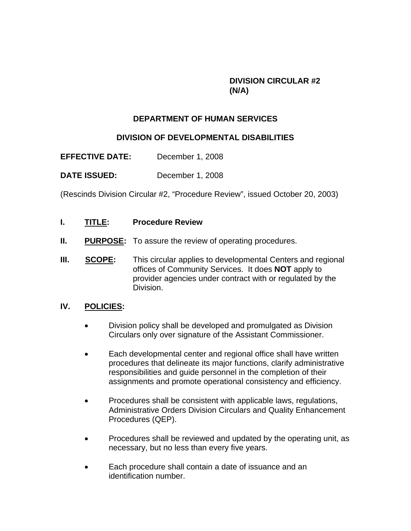## **DIVISION CIRCULAR #2 (N/A)**

## **DEPARTMENT OF HUMAN SERVICES**

## **DIVISION OF DEVELOPMENTAL DISABILITIES**

**EFFECTIVE DATE:** December 1, 2008

**DATE ISSUED:** December 1, 2008

(Rescinds Division Circular #2, "Procedure Review", issued October 20, 2003)

- **I. TITLE: Procedure Review**
- **II.** PURPOSE: To assure the review of operating procedures.
- **III. SCOPE:** This circular applies to developmental Centers and regional offices of Community Services. It does **NOT** apply to provider agencies under contract with or regulated by the Division.

## **IV. POLICIES:**

- Division policy shall be developed and promulgated as Division Circulars only over signature of the Assistant Commissioner.
- Each developmental center and regional office shall have written procedures that delineate its major functions, clarify administrative responsibilities and guide personnel in the completion of their assignments and promote operational consistency and efficiency.
- Procedures shall be consistent with applicable laws, regulations, Administrative Orders Division Circulars and Quality Enhancement Procedures (QEP).
- Procedures shall be reviewed and updated by the operating unit, as necessary, but no less than every five years.
- Each procedure shall contain a date of issuance and an identification number.